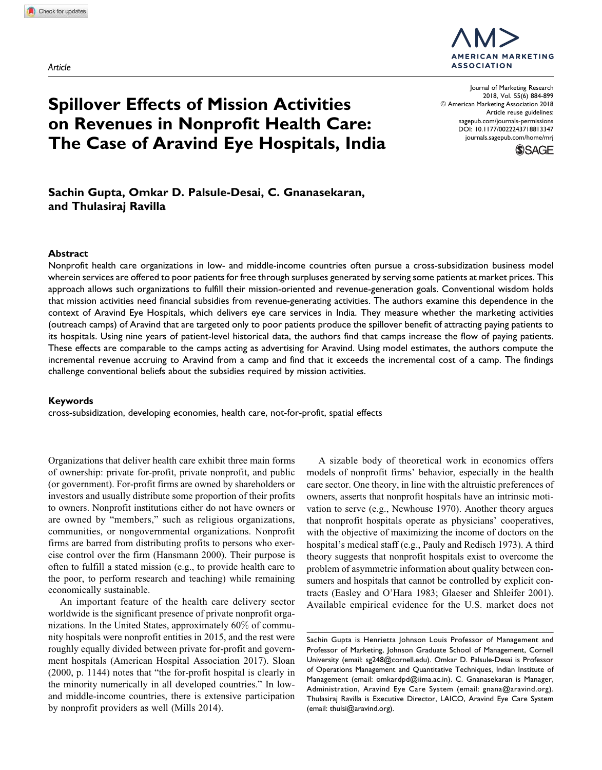

# Spillover Effects of Mission Activities on Revenues in Nonprofit Health Care: The Case of Aravind Eye Hospitals, India

Journal of Marketing Research 2018, Vol. 55(6) 884-899 © American Marketing Association 2018 Article reuse guidelines: sagepub.com/journals-permissions DOI: 10.1177/0022243718813347 journals.sagepub.com/home/mrj



## Sachin Gupta, Omkar D. Palsule-Desai, C. Gnanasekaran, and Thulasiraj Ravilla

#### Abstract

Nonprofit health care organizations in low- and middle-income countries often pursue a cross-subsidization business model wherein services are offered to poor patients for free through surpluses generated by serving some patients at market prices. This approach allows such organizations to fulfill their mission-oriented and revenue-generation goals. Conventional wisdom holds that mission activities need financial subsidies from revenue-generating activities. The authors examine this dependence in the context of Aravind Eye Hospitals, which delivers eye care services in India. They measure whether the marketing activities (outreach camps) of Aravind that are targeted only to poor patients produce the spillover benefit of attracting paying patients to its hospitals. Using nine years of patient-level historical data, the authors find that camps increase the flow of paying patients. These effects are comparable to the camps acting as advertising for Aravind. Using model estimates, the authors compute the incremental revenue accruing to Aravind from a camp and find that it exceeds the incremental cost of a camp. The findings challenge conventional beliefs about the subsidies required by mission activities.

#### Keywords

cross-subsidization, developing economies, health care, not-for-profit, spatial effects

Organizations that deliver health care exhibit three main forms of ownership: private for-profit, private nonprofit, and public (or government). For-profit firms are owned by shareholders or investors and usually distribute some proportion of their profits to owners. Nonprofit institutions either do not have owners or are owned by "members," such as religious organizations, communities, or nongovernmental organizations. Nonprofit firms are barred from distributing profits to persons who exercise control over the firm (Hansmann 2000). Their purpose is often to fulfill a stated mission (e.g., to provide health care to the poor, to perform research and teaching) while remaining economically sustainable.

An important feature of the health care delivery sector worldwide is the significant presence of private nonprofit organizations. In the United States, approximately 60% of community hospitals were nonprofit entities in 2015, and the rest were roughly equally divided between private for-profit and government hospitals (American Hospital Association 2017). Sloan (2000, p. 1144) notes that "the for-profit hospital is clearly in the minority numerically in all developed countries." In lowand middle-income countries, there is extensive participation by nonprofit providers as well (Mills 2014).

A sizable body of theoretical work in economics offers models of nonprofit firms' behavior, especially in the health care sector. One theory, in line with the altruistic preferences of owners, asserts that nonprofit hospitals have an intrinsic motivation to serve (e.g., Newhouse 1970). Another theory argues that nonprofit hospitals operate as physicians' cooperatives, with the objective of maximizing the income of doctors on the hospital's medical staff (e.g., Pauly and Redisch 1973). A third theory suggests that nonprofit hospitals exist to overcome the problem of asymmetric information about quality between consumers and hospitals that cannot be controlled by explicit contracts (Easley and O'Hara 1983; Glaeser and Shleifer 2001). Available empirical evidence for the U.S. market does not

Sachin Gupta is Henrietta Johnson Louis Professor of Management and Professor of Marketing, Johnson Graduate School of Management, Cornell University (email: sg248@cornell.edu). Omkar D. Palsule-Desai is Professor of Operations Management and Quantitative Techniques, Indian Institute of Management (email: omkardpd@iima.ac.in). C. Gnanasekaran is Manager, Administration, Aravind Eye Care System (email: gnana@aravind.org). Thulasiraj Ravilla is Executive Director, LAICO, Aravind Eye Care System (email: thulsi@aravind.org).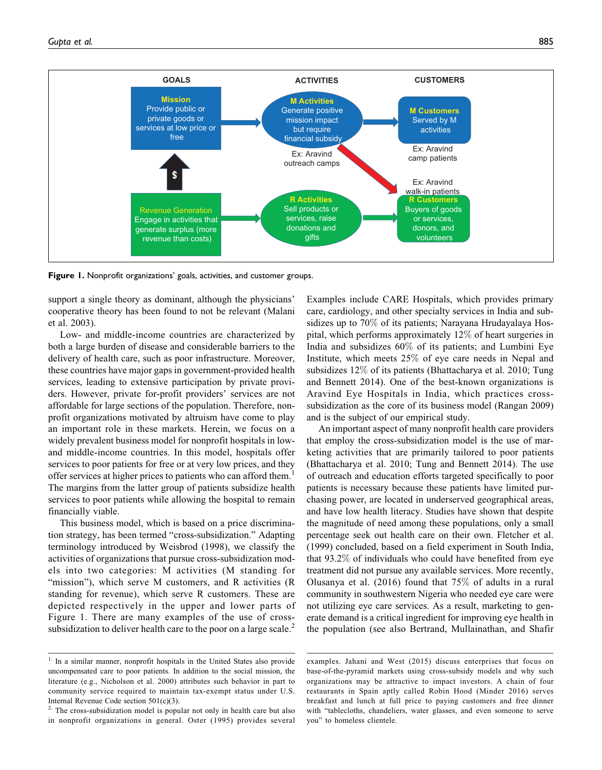

Figure 1. Nonprofit organizations' goals, activities, and customer groups.

support a single theory as dominant, although the physicians' cooperative theory has been found to not be relevant (Malani et al. 2003).

Low- and middle-income countries are characterized by both a large burden of disease and considerable barriers to the delivery of health care, such as poor infrastructure. Moreover, these countries have major gaps in government-provided health services, leading to extensive participation by private providers. However, private for-profit providers' services are not affordable for large sections of the population. Therefore, nonprofit organizations motivated by altruism have come to play an important role in these markets. Herein, we focus on a widely prevalent business model for nonprofit hospitals in lowand middle-income countries. In this model, hospitals offer services to poor patients for free or at very low prices, and they offer services at higher prices to patients who can afford them.<sup>1</sup> The margins from the latter group of patients subsidize health services to poor patients while allowing the hospital to remain financially viable.

This business model, which is based on a price discrimination strategy, has been termed "cross-subsidization." Adapting terminology introduced by Weisbrod (1998), we classify the activities of organizations that pursue cross-subsidization models into two categories: M activities (M standing for "mission"), which serve M customers, and R activities (R standing for revenue), which serve R customers. These are depicted respectively in the upper and lower parts of Figure 1. There are many examples of the use of crosssubsidization to deliver health care to the poor on a large scale.<sup>2</sup>

Examples include CARE Hospitals, which provides primary care, cardiology, and other specialty services in India and subsidizes up to 70% of its patients; Narayana Hrudayalaya Hospital, which performs approximately 12% of heart surgeries in India and subsidizes 60% of its patients; and Lumbini Eye Institute, which meets 25% of eye care needs in Nepal and subsidizes 12% of its patients (Bhattacharya et al. 2010; Tung and Bennett 2014). One of the best-known organizations is Aravind Eye Hospitals in India, which practices crosssubsidization as the core of its business model (Rangan 2009) and is the subject of our empirical study.

An important aspect of many nonprofit health care providers that employ the cross-subsidization model is the use of marketing activities that are primarily tailored to poor patients (Bhattacharya et al. 2010; Tung and Bennett 2014). The use of outreach and education efforts targeted specifically to poor patients is necessary because these patients have limited purchasing power, are located in underserved geographical areas, and have low health literacy. Studies have shown that despite the magnitude of need among these populations, only a small percentage seek out health care on their own. Fletcher et al. (1999) concluded, based on a field experiment in South India, that 93.2% of individuals who could have benefited from eye treatment did not pursue any available services. More recently, Olusanya et al.  $(2016)$  found that 75% of adults in a rural community in southwestern Nigeria who needed eye care were not utilizing eye care services. As a result, marketing to generate demand is a critical ingredient for improving eye health in the population (see also Bertrand, Mullainathan, and Shafir

examples. Jahani and West (2015) discuss enterprises that focus on base-of-the-pyramid markets using cross-subsidy models and why such organizations may be attractive to impact investors. A chain of four restaurants in Spain aptly called Robin Hood (Minder 2016) serves breakfast and lunch at full price to paying customers and free dinner with "tablecloths, chandeliers, water glasses, and even someone to serve you" to homeless clientele.

<sup>1.</sup> In a similar manner, nonprofit hospitals in the United States also provide uncompensated care to poor patients. In addition to the social mission, the literature (e.g., Nicholson et al. 2000) attributes such behavior in part to community service required to maintain tax-exempt status under U.S. Internal Revenue Code section 501(c)(3).

<sup>&</sup>lt;sup>2.</sup> The cross-subsidization model is popular not only in health care but also in nonprofit organizations in general. Oster (1995) provides several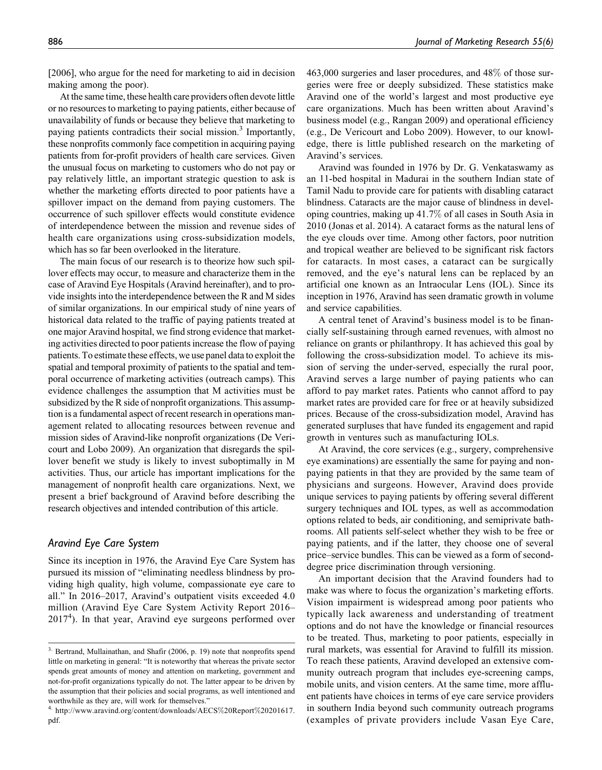[2006], who argue for the need for marketing to aid in decision making among the poor).

At the same time, these health care providers often devote little or no resources to marketing to paying patients, either because of unavailability of funds or because they believe that marketing to paying patients contradicts their social mission.<sup>3</sup> Importantly, these nonprofits commonly face competition in acquiring paying patients from for-profit providers of health care services. Given the unusual focus on marketing to customers who do not pay or pay relatively little, an important strategic question to ask is whether the marketing efforts directed to poor patients have a spillover impact on the demand from paying customers. The occurrence of such spillover effects would constitute evidence of interdependence between the mission and revenue sides of health care organizations using cross-subsidization models, which has so far been overlooked in the literature.

The main focus of our research is to theorize how such spillover effects may occur, to measure and characterize them in the case of Aravind Eye Hospitals (Aravind hereinafter), and to provide insights into the interdependence between the R and M sides of similar organizations. In our empirical study of nine years of historical data related to the traffic of paying patients treated at one major Aravind hospital, we find strong evidence that marketing activities directed to poor patients increase the flow of paying patients. To estimate these effects, we use panel data to exploit the spatial and temporal proximity of patients to the spatial and temporal occurrence of marketing activities (outreach camps). This evidence challenges the assumption that M activities must be subsidized by the R side of nonprofit organizations. This assumption is a fundamental aspect of recent research in operations management related to allocating resources between revenue and mission sides of Aravind-like nonprofit organizations (De Vericourt and Lobo 2009). An organization that disregards the spillover benefit we study is likely to invest suboptimally in M activities. Thus, our article has important implications for the management of nonprofit health care organizations. Next, we present a brief background of Aravind before describing the research objectives and intended contribution of this article.

#### *Aravind Eye Care System*

Since its inception in 1976, the Aravind Eye Care System has pursued its mission of "eliminating needless blindness by providing high quality, high volume, compassionate eye care to all." In 2016–2017, Aravind's outpatient visits exceeded 4.0 million (Aravind Eye Care System Activity Report 2016–  $2017<sup>4</sup>$ ). In that year, Aravind eye surgeons performed over

463,000 surgeries and laser procedures, and 48% of those surgeries were free or deeply subsidized. These statistics make Aravind one of the world's largest and most productive eye care organizations. Much has been written about Aravind's business model (e.g., Rangan 2009) and operational efficiency (e.g., De Vericourt and Lobo 2009). However, to our knowledge, there is little published research on the marketing of Aravind's services.

Aravind was founded in 1976 by Dr. G. Venkataswamy as an 11-bed hospital in Madurai in the southern Indian state of Tamil Nadu to provide care for patients with disabling cataract blindness. Cataracts are the major cause of blindness in developing countries, making up 41.7% of all cases in South Asia in 2010 (Jonas et al. 2014). A cataract forms as the natural lens of the eye clouds over time. Among other factors, poor nutrition and tropical weather are believed to be significant risk factors for cataracts. In most cases, a cataract can be surgically removed, and the eye's natural lens can be replaced by an artificial one known as an Intraocular Lens (IOL). Since its inception in 1976, Aravind has seen dramatic growth in volume and service capabilities.

A central tenet of Aravind's business model is to be financially self-sustaining through earned revenues, with almost no reliance on grants or philanthropy. It has achieved this goal by following the cross-subsidization model. To achieve its mission of serving the under-served, especially the rural poor, Aravind serves a large number of paying patients who can afford to pay market rates. Patients who cannot afford to pay market rates are provided care for free or at heavily subsidized prices. Because of the cross-subsidization model, Aravind has generated surpluses that have funded its engagement and rapid growth in ventures such as manufacturing IOLs.

At Aravind, the core services (e.g., surgery, comprehensive eye examinations) are essentially the same for paying and nonpaying patients in that they are provided by the same team of physicians and surgeons. However, Aravind does provide unique services to paying patients by offering several different surgery techniques and IOL types, as well as accommodation options related to beds, air conditioning, and semiprivate bathrooms. All patients self-select whether they wish to be free or paying patients, and if the latter, they choose one of several price–service bundles. This can be viewed as a form of seconddegree price discrimination through versioning.

An important decision that the Aravind founders had to make was where to focus the organization's marketing efforts. Vision impairment is widespread among poor patients who typically lack awareness and understanding of treatment options and do not have the knowledge or financial resources to be treated. Thus, marketing to poor patients, especially in rural markets, was essential for Aravind to fulfill its mission. To reach these patients, Aravind developed an extensive community outreach program that includes eye-screening camps, mobile units, and vision centers. At the same time, more affluent patients have choices in terms of eye care service providers in southern India beyond such community outreach programs (examples of private providers include Vasan Eye Care,

<sup>&</sup>lt;sup>3.</sup> Bertrand, Mullainathan, and Shafir (2006, p. 19) note that nonprofits spend little on marketing in general: "It is noteworthy that whereas the private sector spends great amounts of money and attention on marketing, government and not-for-profit organizations typically do not. The latter appear to be driven by the assumption that their policies and social programs, as well intentioned and worthwhile as they are, will work for themselves."

<sup>4.</sup> http://www.aravind.org/content/downloads/AECS%20Report%20201617. pdf.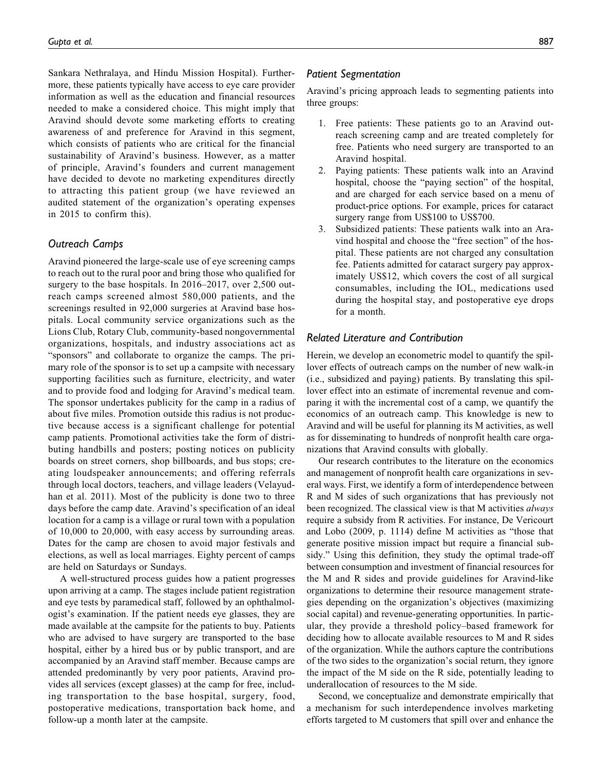Sankara Nethralaya, and Hindu Mission Hospital). Furthermore, these patients typically have access to eye care provider information as well as the education and financial resources needed to make a considered choice. This might imply that Aravind should devote some marketing efforts to creating awareness of and preference for Aravind in this segment, which consists of patients who are critical for the financial sustainability of Aravind's business. However, as a matter of principle, Aravind's founders and current management have decided to devote no marketing expenditures directly to attracting this patient group (we have reviewed an audited statement of the organization's operating expenses in 2015 to confirm this).

#### *Outreach Camps*

Aravind pioneered the large-scale use of eye screening camps to reach out to the rural poor and bring those who qualified for surgery to the base hospitals. In 2016–2017, over 2,500 outreach camps screened almost 580,000 patients, and the screenings resulted in 92,000 surgeries at Aravind base hospitals. Local community service organizations such as the Lions Club, Rotary Club, community-based nongovernmental organizations, hospitals, and industry associations act as "sponsors" and collaborate to organize the camps. The primary role of the sponsor is to set up a campsite with necessary supporting facilities such as furniture, electricity, and water and to provide food and lodging for Aravind's medical team. The sponsor undertakes publicity for the camp in a radius of about five miles. Promotion outside this radius is not productive because access is a significant challenge for potential camp patients. Promotional activities take the form of distributing handbills and posters; posting notices on publicity boards on street corners, shop billboards, and bus stops; creating loudspeaker announcements; and offering referrals through local doctors, teachers, and village leaders (Velayudhan et al. 2011). Most of the publicity is done two to three days before the camp date. Aravind's specification of an ideal location for a camp is a village or rural town with a population of 10,000 to 20,000, with easy access by surrounding areas. Dates for the camp are chosen to avoid major festivals and elections, as well as local marriages. Eighty percent of camps are held on Saturdays or Sundays.

A well-structured process guides how a patient progresses upon arriving at a camp. The stages include patient registration and eye tests by paramedical staff, followed by an ophthalmologist's examination. If the patient needs eye glasses, they are made available at the campsite for the patients to buy. Patients who are advised to have surgery are transported to the base hospital, either by a hired bus or by public transport, and are accompanied by an Aravind staff member. Because camps are attended predominantly by very poor patients, Aravind provides all services (except glasses) at the camp for free, including transportation to the base hospital, surgery, food, postoperative medications, transportation back home, and follow-up a month later at the campsite.

#### *Patient Segmentation*

Aravind's pricing approach leads to segmenting patients into three groups:

- 1. Free patients: These patients go to an Aravind outreach screening camp and are treated completely for free. Patients who need surgery are transported to an Aravind hospital.
- 2. Paying patients: These patients walk into an Aravind hospital, choose the "paying section" of the hospital, and are charged for each service based on a menu of product-price options. For example, prices for cataract surgery range from US\$100 to US\$700.
- 3. Subsidized patients: These patients walk into an Aravind hospital and choose the "free section" of the hospital. These patients are not charged any consultation fee. Patients admitted for cataract surgery pay approximately US\$12, which covers the cost of all surgical consumables, including the IOL, medications used during the hospital stay, and postoperative eye drops for a month.

#### *Related Literature and Contribution*

Herein, we develop an econometric model to quantify the spillover effects of outreach camps on the number of new walk-in (i.e., subsidized and paying) patients. By translating this spillover effect into an estimate of incremental revenue and comparing it with the incremental cost of a camp, we quantify the economics of an outreach camp. This knowledge is new to Aravind and will be useful for planning its M activities, as well as for disseminating to hundreds of nonprofit health care organizations that Aravind consults with globally.

Our research contributes to the literature on the economics and management of nonprofit health care organizations in several ways. First, we identify a form of interdependence between R and M sides of such organizations that has previously not been recognized. The classical view is that M activities always require a subsidy from R activities. For instance, De Vericourt and Lobo (2009, p. 1114) define M activities as "those that generate positive mission impact but require a financial subsidy." Using this definition, they study the optimal trade-off between consumption and investment of financial resources for the M and R sides and provide guidelines for Aravind-like organizations to determine their resource management strategies depending on the organization's objectives (maximizing social capital) and revenue-generating opportunities. In particular, they provide a threshold policy–based framework for deciding how to allocate available resources to M and R sides of the organization. While the authors capture the contributions of the two sides to the organization's social return, they ignore the impact of the M side on the R side, potentially leading to underallocation of resources to the M side.

Second, we conceptualize and demonstrate empirically that a mechanism for such interdependence involves marketing efforts targeted to M customers that spill over and enhance the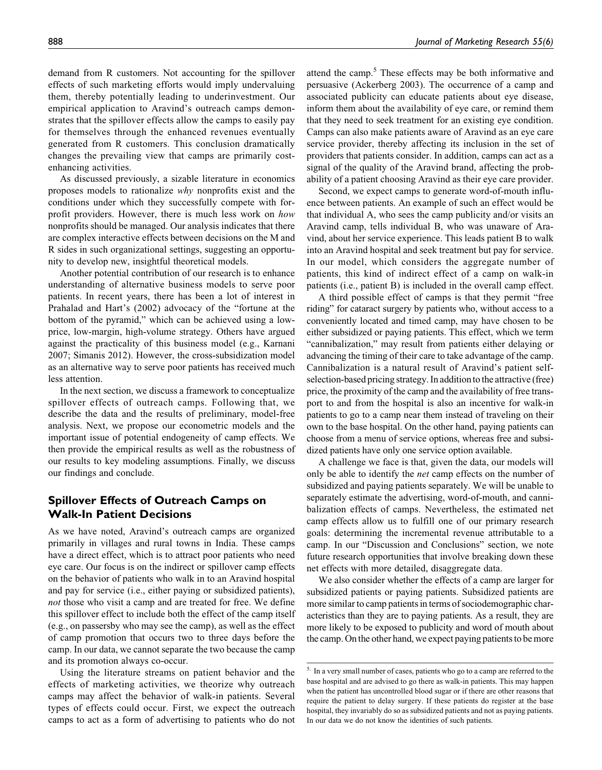demand from R customers. Not accounting for the spillover effects of such marketing efforts would imply undervaluing them, thereby potentially leading to underinvestment. Our empirical application to Aravind's outreach camps demonstrates that the spillover effects allow the camps to easily pay for themselves through the enhanced revenues eventually generated from R customers. This conclusion dramatically changes the prevailing view that camps are primarily costenhancing activities.

As discussed previously, a sizable literature in economics proposes models to rationalize why nonprofits exist and the conditions under which they successfully compete with forprofit providers. However, there is much less work on how nonprofits should be managed. Our analysis indicates that there are complex interactive effects between decisions on the M and R sides in such organizational settings, suggesting an opportunity to develop new, insightful theoretical models.

Another potential contribution of our research is to enhance understanding of alternative business models to serve poor patients. In recent years, there has been a lot of interest in Prahalad and Hart's (2002) advocacy of the "fortune at the bottom of the pyramid," which can be achieved using a lowprice, low-margin, high-volume strategy. Others have argued against the practicality of this business model (e.g., Karnani 2007; Simanis 2012). However, the cross-subsidization model as an alternative way to serve poor patients has received much less attention.

In the next section, we discuss a framework to conceptualize spillover effects of outreach camps. Following that, we describe the data and the results of preliminary, model-free analysis. Next, we propose our econometric models and the important issue of potential endogeneity of camp effects. We then provide the empirical results as well as the robustness of our results to key modeling assumptions. Finally, we discuss our findings and conclude.

### Spillover Effects of Outreach Camps on Walk-In Patient Decisions

As we have noted, Aravind's outreach camps are organized primarily in villages and rural towns in India. These camps have a direct effect, which is to attract poor patients who need eye care. Our focus is on the indirect or spillover camp effects on the behavior of patients who walk in to an Aravind hospital and pay for service (i.e., either paying or subsidized patients), not those who visit a camp and are treated for free. We define this spillover effect to include both the effect of the camp itself (e.g., on passersby who may see the camp), as well as the effect of camp promotion that occurs two to three days before the camp. In our data, we cannot separate the two because the camp and its promotion always co-occur.

Using the literature streams on patient behavior and the effects of marketing activities, we theorize why outreach camps may affect the behavior of walk-in patients. Several types of effects could occur. First, we expect the outreach camps to act as a form of advertising to patients who do not

attend the camp.<sup>5</sup> These effects may be both informative and persuasive (Ackerberg 2003). The occurrence of a camp and associated publicity can educate patients about eye disease, inform them about the availability of eye care, or remind them that they need to seek treatment for an existing eye condition. Camps can also make patients aware of Aravind as an eye care service provider, thereby affecting its inclusion in the set of providers that patients consider. In addition, camps can act as a signal of the quality of the Aravind brand, affecting the probability of a patient choosing Aravind as their eye care provider.

Second, we expect camps to generate word-of-mouth influence between patients. An example of such an effect would be that individual A, who sees the camp publicity and/or visits an Aravind camp, tells individual B, who was unaware of Aravind, about her service experience. This leads patient B to walk into an Aravind hospital and seek treatment but pay for service. In our model, which considers the aggregate number of patients, this kind of indirect effect of a camp on walk-in patients (i.e., patient B) is included in the overall camp effect.

A third possible effect of camps is that they permit "free riding" for cataract surgery by patients who, without access to a conveniently located and timed camp, may have chosen to be either subsidized or paying patients. This effect, which we term "cannibalization," may result from patients either delaying or advancing the timing of their care to take advantage of the camp. Cannibalization is a natural result of Aravind's patient selfselection-based pricing strategy. In addition to the attractive (free) price, the proximity of the camp and the availability of free transport to and from the hospital is also an incentive for walk-in patients to go to a camp near them instead of traveling on their own to the base hospital. On the other hand, paying patients can choose from a menu of service options, whereas free and subsidized patients have only one service option available.

A challenge we face is that, given the data, our models will only be able to identify the *net* camp effects on the number of subsidized and paying patients separately. We will be unable to separately estimate the advertising, word-of-mouth, and cannibalization effects of camps. Nevertheless, the estimated net camp effects allow us to fulfill one of our primary research goals: determining the incremental revenue attributable to a camp. In our "Discussion and Conclusions" section, we note future research opportunities that involve breaking down these net effects with more detailed, disaggregate data.

We also consider whether the effects of a camp are larger for subsidized patients or paying patients. Subsidized patients are more similar to camp patients in terms of sociodemographic characteristics than they are to paying patients. As a result, they are more likely to be exposed to publicity and word of mouth about the camp. On the other hand, we expect paying patients to be more

<sup>5.</sup> In a very small number of cases, patients who go to a camp are referred to the base hospital and are advised to go there as walk-in patients. This may happen when the patient has uncontrolled blood sugar or if there are other reasons that require the patient to delay surgery. If these patients do register at the base hospital, they invariably do so as subsidized patients and not as paying patients. In our data we do not know the identities of such patients.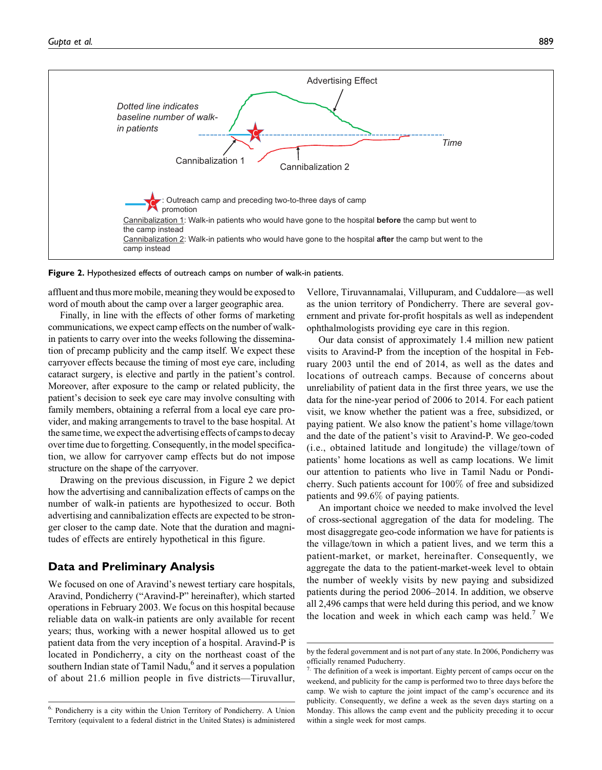

Figure 2. Hypothesized effects of outreach camps on number of walk-in patients.

affluent and thus more mobile, meaning they would be exposed to word of mouth about the camp over a larger geographic area.

Finally, in line with the effects of other forms of marketing communications, we expect camp effects on the number of walkin patients to carry over into the weeks following the dissemination of precamp publicity and the camp itself. We expect these carryover effects because the timing of most eye care, including cataract surgery, is elective and partly in the patient's control. Moreover, after exposure to the camp or related publicity, the patient's decision to seek eye care may involve consulting with family members, obtaining a referral from a local eye care provider, and making arrangements to travel to the base hospital. At the same time, we expect the advertising effects of camps to decay over time due to forgetting. Consequently, in the model specification, we allow for carryover camp effects but do not impose structure on the shape of the carryover.

Drawing on the previous discussion, in Figure 2 we depict how the advertising and cannibalization effects of camps on the number of walk-in patients are hypothesized to occur. Both advertising and cannibalization effects are expected to be stronger closer to the camp date. Note that the duration and magnitudes of effects are entirely hypothetical in this figure.

#### Data and Preliminary Analysis

We focused on one of Aravind's newest tertiary care hospitals, Aravind, Pondicherry ("Aravind-P" hereinafter), which started operations in February 2003. We focus on this hospital because reliable data on walk-in patients are only available for recent years; thus, working with a newer hospital allowed us to get patient data from the very inception of a hospital. Aravind-P is located in Pondicherry, a city on the northeast coast of the southern Indian state of Tamil Nadu,<sup>6</sup> and it serves a population of about 21.6 million people in five districts—Tiruvallur,

6. Pondicherry is a city within the Union Territory of Pondicherry. A Union Territory (equivalent to a federal district in the United States) is administered

Vellore, Tiruvannamalai, Villupuram, and Cuddalore—as well as the union territory of Pondicherry. There are several government and private for-profit hospitals as well as independent ophthalmologists providing eye care in this region.

Our data consist of approximately 1.4 million new patient visits to Aravind-P from the inception of the hospital in February 2003 until the end of 2014, as well as the dates and locations of outreach camps. Because of concerns about unreliability of patient data in the first three years, we use the data for the nine-year period of 2006 to 2014. For each patient visit, we know whether the patient was a free, subsidized, or paying patient. We also know the patient's home village/town and the date of the patient's visit to Aravind-P. We geo-coded (i.e., obtained latitude and longitude) the village/town of patients' home locations as well as camp locations. We limit our attention to patients who live in Tamil Nadu or Pondicherry. Such patients account for 100% of free and subsidized patients and 99.6% of paying patients.

An important choice we needed to make involved the level of cross-sectional aggregation of the data for modeling. The most disaggregate geo-code information we have for patients is the village/town in which a patient lives, and we term this a patient-market, or market, hereinafter. Consequently, we aggregate the data to the patient-market-week level to obtain the number of weekly visits by new paying and subsidized patients during the period 2006–2014. In addition, we observe all 2,496 camps that were held during this period, and we know the location and week in which each camp was held.<sup>7</sup> We

by the federal government and is not part of any state. In 2006, Pondicherry was officially renamed Puducherry.

<sup>7.</sup> The definition of a week is important. Eighty percent of camps occur on the weekend, and publicity for the camp is performed two to three days before the camp. We wish to capture the joint impact of the camp's occurence and its publicity. Consequently, we define a week as the seven days starting on a Monday. This allows the camp event and the publicity preceding it to occur within a single week for most camps.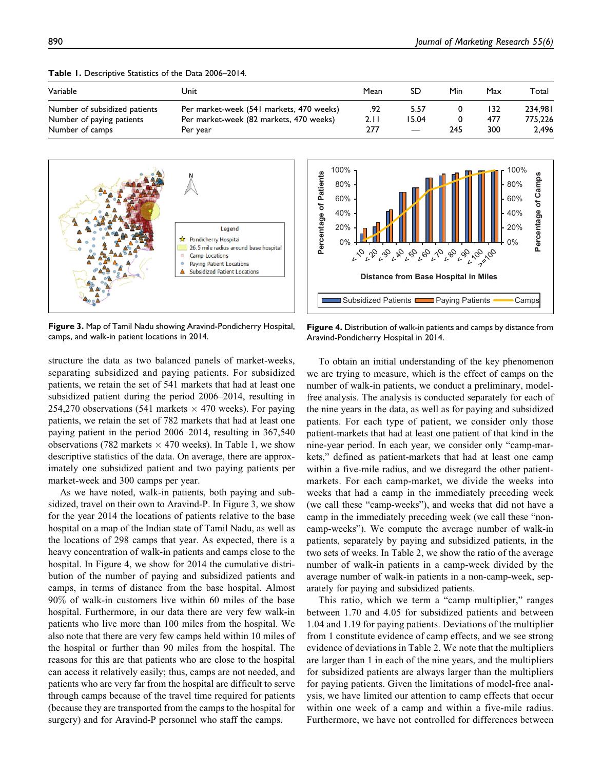| Variable                      | Unit                                     | Mean   | SD    | Min | Max | Total   |
|-------------------------------|------------------------------------------|--------|-------|-----|-----|---------|
| Number of subsidized patients | Per market-week (541 markets, 470 weeks) | .92    | 5.57  |     | 132 | 234.981 |
| Number of paying patients     | Per market-week (82 markets, 470 weeks)  | 2. I I | 15.04 |     | 477 | 775,226 |
| Number of camps               | Per year                                 | 277    |       | 245 | 300 | 2,496   |

Table 1. Descriptive Statistics of the Data 2006–2014.





Figure 3. Map of Tamil Nadu showing Aravind-Pondicherry Hospital, camps, and walk-in patient locations in 2014.

Figure 4. Distribution of walk-in patients and camps by distance from Aravind-Pondicherry Hospital in 2014.

structure the data as two balanced panels of market-weeks, separating subsidized and paying patients. For subsidized patients, we retain the set of 541 markets that had at least one subsidized patient during the period 2006–2014, resulting in 254,270 observations (541 markets  $\times$  470 weeks). For paying patients, we retain the set of 782 markets that had at least one paying patient in the period 2006–2014, resulting in 367,540 observations (782 markets  $\times$  470 weeks). In Table 1, we show descriptive statistics of the data. On average, there are approximately one subsidized patient and two paying patients per market-week and 300 camps per year.

As we have noted, walk-in patients, both paying and subsidized, travel on their own to Aravind-P. In Figure 3, we show for the year 2014 the locations of patients relative to the base hospital on a map of the Indian state of Tamil Nadu, as well as the locations of 298 camps that year. As expected, there is a heavy concentration of walk-in patients and camps close to the hospital. In Figure 4, we show for 2014 the cumulative distribution of the number of paying and subsidized patients and camps, in terms of distance from the base hospital. Almost 90% of walk-in customers live within 60 miles of the base hospital. Furthermore, in our data there are very few walk-in patients who live more than 100 miles from the hospital. We also note that there are very few camps held within 10 miles of the hospital or further than 90 miles from the hospital. The reasons for this are that patients who are close to the hospital can access it relatively easily; thus, camps are not needed, and patients who are very far from the hospital are difficult to serve through camps because of the travel time required for patients (because they are transported from the camps to the hospital for surgery) and for Aravind-P personnel who staff the camps.

To obtain an initial understanding of the key phenomenon we are trying to measure, which is the effect of camps on the number of walk-in patients, we conduct a preliminary, modelfree analysis. The analysis is conducted separately for each of the nine years in the data, as well as for paying and subsidized patients. For each type of patient, we consider only those patient-markets that had at least one patient of that kind in the nine-year period. In each year, we consider only "camp-markets," defined as patient-markets that had at least one camp within a five-mile radius, and we disregard the other patientmarkets. For each camp-market, we divide the weeks into weeks that had a camp in the immediately preceding week (we call these "camp-weeks"), and weeks that did not have a camp in the immediately preceding week (we call these "noncamp-weeks"). We compute the average number of walk-in patients, separately by paying and subsidized patients, in the two sets of weeks. In Table 2, we show the ratio of the average number of walk-in patients in a camp-week divided by the average number of walk-in patients in a non-camp-week, separately for paying and subsidized patients.

This ratio, which we term a "camp multiplier," ranges between 1.70 and 4.05 for subsidized patients and between 1.04 and 1.19 for paying patients. Deviations of the multiplier from 1 constitute evidence of camp effects, and we see strong evidence of deviations in Table 2. We note that the multipliers are larger than 1 in each of the nine years, and the multipliers for subsidized patients are always larger than the multipliers for paying patients. Given the limitations of model-free analysis, we have limited our attention to camp effects that occur within one week of a camp and within a five-mile radius. Furthermore, we have not controlled for differences between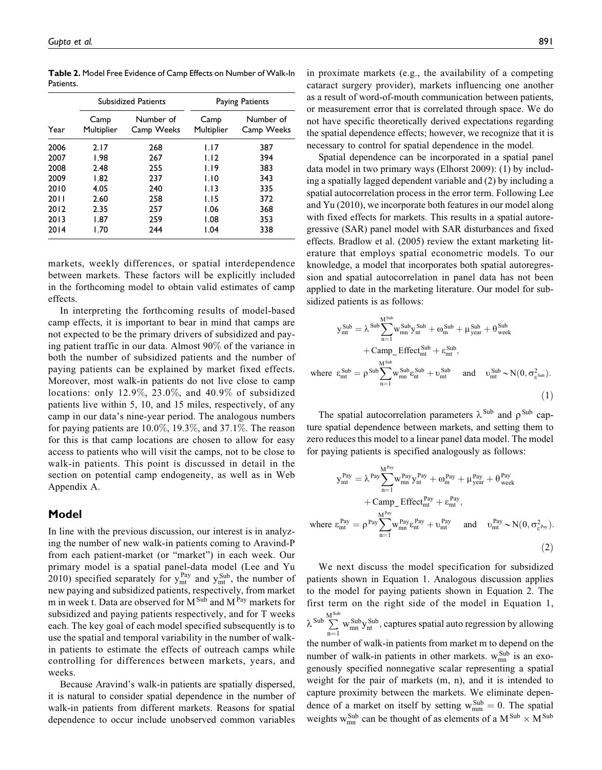Table 2. Model Free Evidence of Camp Effects on Number of Walk-In Patients.

| <b>Subsidized Patients</b> |      |                         | Paying Patients    |                         |  |
|----------------------------|------|-------------------------|--------------------|-------------------------|--|
| Camp<br>Multiplier<br>Year |      | Number of<br>Camp Weeks | Camp<br>Multiplier | Number of<br>Camp Weeks |  |
| 2006                       | 2.17 | 268                     | I.I7               | 387                     |  |
| 2007                       | 1.98 | 267                     | 1.12               | 394                     |  |
| 2008                       | 2.48 | 255                     | 1.19               | 383                     |  |
| 2009                       | 1.82 | 237                     | 1.10               | 343                     |  |
| 2010                       | 4.05 | 240                     | 1.13               | 335                     |  |
| 2011                       | 2.60 | 258                     | 1.15               | 372                     |  |
| 2012                       | 2.35 | 257                     | 1.06               | 368                     |  |
| 2013                       | 1.87 | 259                     | 1.08               | 353                     |  |
| 2014                       | 1.70 | 244                     | 1.04               | 338                     |  |

markets, weekly differences, or spatial interdependence between markets. These factors will be explicitly included in the forthcoming model to obtain valid estimates of camp effects.

In interpreting the forthcoming results of model-based camp effects, it is important to bear in mind that camps are not expected to be the primary drivers of subsidized and paying patient traffic in our data. Almost 90% of the variance in both the number of subsidized patients and the number of paying patients can be explained by market fixed effects. Moreover, most walk-in patients do not live close to camp locations: only 12.9%, 23.0%, and 40.9% of subsidized patients live within 5, 10, and 15 miles, respectively, of any camp in our data's nine-year period. The analogous numbers for paying patients are 10.0%, 19.3%, and 37.1%. The reason for this is that camp locations are chosen to allow for easy access to patients who will visit the camps, not to be close to walk-in patients. This point is discussed in detail in the section on potential camp endogeneity, as well as in Web Appendix A.

#### Model

In line with the previous discussion, our interest is in analyzing the number of new walk-in patients coming to Aravind-P from each patient-market (or "market") in each week. Our primary model is a spatial panel-data model (Lee and Yu 2010) specified separately for  $y_{mt}^{Pay}$  and  $y_{mt}^{Sub}$ , the number of new paying and subsidized patients, respectively, from market m in week t. Data are observed for  $M<sup>Sub</sup>$  and  $M<sup>Pay</sup>$  markets for subsidized and paying patients respectively, and for T weeks each. The key goal of each model specified subsequently is to use the spatial and temporal variability in the number of walkin patients to estimate the effects of outreach camps while controlling for differences between markets, years, and weeks.

Because Aravind's walk-in patients are spatially dispersed, it is natural to consider spatial dependence in the number of walk-in patients from different markets. Reasons for spatial dependence to occur include unobserved common variables in proximate markets (e.g., the availability of a competing cataract surgery provider), markets influencing one another as a result of word-of-mouth communication between patients, or measurement error that is correlated through space. We do not have specific theoretically derived expectations regarding the spatial dependence effects; however, we recognize that it is necessary to control for spatial dependence in the model.

Spatial dependence can be incorporated in a spatial panel data model in two primary ways (Elhorst 2009): (1) by including a spatially lagged dependent variable and (2) by including a spatial autocorrelation process in the error term. Following Lee and Yu (2010), we incorporate both features in our model along with fixed effects for markets. This results in a spatial autoregressive (SAR) panel model with SAR disturbances and fixed effects. Bradlow et al. (2005) review the extant marketing literature that employs spatial econometric models. To our knowledge, a model that incorporates both spatial autoregression and spatial autocorrelation in panel data has not been applied to date in the marketing literature. Our model for subsidized patients is as follows:

$$
y_{mt}^{Sub} = \lambda^{Sub} \sum_{n=1}^{M^{Sub}} w_{mn}^{Sub} y_{nt}^{Sub} + \omega_m^{Sub} + \mu^{Sub}_{year} + \theta^{Sub}_{week}
$$
  
+ 
$$
Camp\_Effect_{mt}^{Sub} + \epsilon_{mt}^{Sub},
$$
  
where  $\epsilon_{mt}^{Sub} = \rho^{Sub} \sum_{n=1}^{M^{Sub}} w_{mn}^{Sub} \epsilon_{nt}^{Sub} + \upsilon_{mt}^{Sub}$  and  $\upsilon_{mt}^{Sub} \sim N(0, \sigma_{\epsilon^{Sub}}^2).$  (1)

The spatial autocorrelation parameters  $\lambda^{\text{Sub}}$  and  $\rho^{\text{Sub}}$  capture spatial dependence between markets, and setting them to zero reduces this model to a linear panel data model. The model for paying patients is specified analogously as follows:

$$
y_{mt}^{Pay} = \lambda^{Pay} \sum_{n=1}^{M^{Pay}} w_{mn}^{Pay} y_{nt}^{Pay} + \omega_{m}^{Pay} + \mu_{year}^{Pay} + \theta_{week}^{Pay}
$$
  
+ Camp\_Effect\_{mt}^{Pay} + \epsilon\_{mt}^{Pay},  
here  $\epsilon_{mt}^{Pay} = \rho^{Pay} \sum_{n=1}^{M^{Pay}} w_{mn}^{Pay} \epsilon_{nt}^{Pay} + \upsilon_{mt}^{Pay}$  and  $\upsilon_{mt}^{Pay} \sim N(0, \sigma_{\epsilon^{Pay}}^2)$ . (2)

 $W$ 

We next discuss the model specification for subsidized patients shown in Equation 1. Analogous discussion applies to the model for paying patients shown in Equation 2. The first term on the right side of the model in Equation 1,  $\lambda$  Sub  $\sum^{\text{Sub}}$  $n=1$  $w<sub>mn</sub><sup>Sub</sup>y<sub>nt</sub><sup>Sub</sup>$ , captures spatial auto regression by allowing the number of walk-in patients from market m to depend on the number of walk-in patients in other markets.  $w_{mn}^{Sub}$  is an exogenously specified nonnegative scalar representing a spatial weight for the pair of markets (m, n), and it is intended to capture proximity between the markets. We eliminate dependence of a market on itself by setting  $w_{mm}^{Sub} = 0$ . The spatial weights w<sub>mn</sub> can be thought of as elements of a  $M^{Sub} \times M^{Sub}$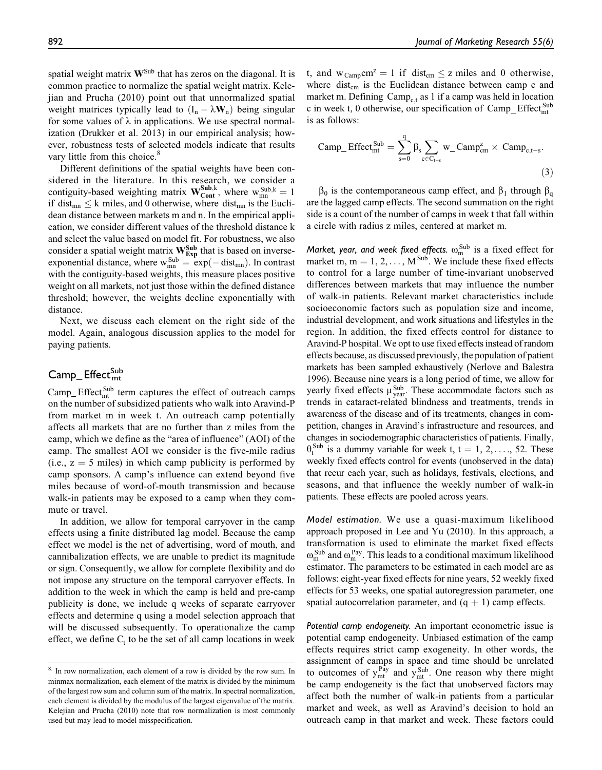spatial weight matrix  $W<sup>Sub</sup>$  that has zeros on the diagonal. It is common practice to normalize the spatial weight matrix. Kelejian and Prucha (2010) point out that unnormalized spatial weight matrices typically lead to  $(I_n - \lambda W_n)$  being singular for some values of  $\lambda$  in applications. We use spectral normalization (Drukker et al. 2013) in our empirical analysis; however, robustness tests of selected models indicate that results vary little from this choice.<sup>8</sup>

Different definitions of the spatial weights have been considered in the literature. In this research, we consider a contiguity-based weighting matrix  $\mathbf{W}_{\text{Cont}}^{\text{Sub},k}$ , where  $w_{\text{min}}^{\text{Sub},k} = 1$ if dist<sub>mn</sub>  $\leq$  k miles, and 0 otherwise, where dist<sub>mn</sub> is the Euclidean distance between markets m and n. In the empirical application, we consider different values of the threshold distance k and select the value based on model fit. For robustness, we also consider a spatial weight matrix  $W_{Exp}^{Sub}$  that is based on inverseexponential distance, where  $w_{mn}^{Sub} = exp(-\text{dist}_{mn})$ . In contrast with the contiguity-based weights, this measure places positive weight on all markets, not just those within the defined distance threshold; however, the weights decline exponentially with distance.

Next, we discuss each element on the right side of the model. Again, analogous discussion applies to the model for paying patients.

## $\mathsf{Camp}\_\mathsf{Effect}^\mathsf{Sub}$

Camp\_Effect<sup>Sub</sup> term captures the effect of outreach camps on the number of subsidized patients who walk into Aravind-P from market m in week t. An outreach camp potentially affects all markets that are no further than z miles from the camp, which we define as the "area of influence" (AOI) of the camp. The smallest AOI we consider is the five-mile radius (i.e.,  $z = 5$  miles) in which camp publicity is performed by camp sponsors. A camp's influence can extend beyond five miles because of word-of-mouth transmission and because walk-in patients may be exposed to a camp when they commute or travel.

In addition, we allow for temporal carryover in the camp effects using a finite distributed lag model. Because the camp effect we model is the net of advertising, word of mouth, and cannibalization effects, we are unable to predict its magnitude or sign. Consequently, we allow for complete flexibility and do not impose any structure on the temporal carryover effects. In addition to the week in which the camp is held and pre-camp publicity is done, we include q weeks of separate carryover effects and determine q using a model selection approach that will be discussed subsequently. To operationalize the camp effect, we define  $C_t$  to be the set of all camp locations in week t, and  $w_{Camp}cm^z = 1$  if dist<sub>cm</sub>  $\le z$  miles and 0 otherwise, where dist $_{\text{cm}}$  is the Euclidean distance between camp c and market m. Defining Camp<sub>c,t</sub> as 1 if a camp was held in location c in week t, 0 otherwise, our specification of Camp\_Effect<sup>Sub</sup><sub>mt</sub> is as follows:

$$
Camp\_Effect^{Sub}_{mt} = \sum_{s=0}^{q} \beta_s \sum_{c \in C_{t-s}} w\_Comp_{cm}^z \times Camp_{c,t-s}.
$$
\n(3)

 $\beta_0$  is the contemporaneous camp effect, and  $\beta_1$  through  $\beta_q$ are the lagged camp effects. The second summation on the right side is a count of the number of camps in week t that fall within a circle with radius z miles, centered at market m.

Market, year, and week fixed effects.  $\omega_{\rm m}^{\rm Sub}$  is a fixed effect for market m,  $m = 1, 2, ..., M^{\text{Sub}}$ . We include these fixed effects to control for a large number of time-invariant unobserved differences between markets that may influence the number of walk-in patients. Relevant market characteristics include socioeconomic factors such as population size and income, industrial development, and work situations and lifestyles in the region. In addition, the fixed effects control for distance to Aravind-P hospital. We opt to use fixed effects instead of random effects because, as discussed previously, the population of patient markets has been sampled exhaustively (Nerlove and Balestra 1996). Because nine years is a long period of time, we allow for yearly fixed effects  $\mu_{\text{year}}^{\text{Sub}}$ . These accommodate factors such as trends in cataract-related blindness and treatments, trends in awareness of the disease and of its treatments, changes in competition, changes in Aravind's infrastructure and resources, and changes in sociodemographic characteristics of patients. Finally,  $\theta_{t}^{Sub}$  is a dummy variable for week t, t = 1, 2, ..., 52. These weekly fixed effects control for events (unobserved in the data) that recur each year, such as holidays, festivals, elections, and seasons, and that influence the weekly number of walk-in patients. These effects are pooled across years.

*Model estimation.* We use a quasi-maximum likelihood approach proposed in Lee and Yu (2010). In this approach, a transformation is used to eliminate the market fixed effects  $\omega_{\rm m}^{\rm Sub}$  and  $\omega_{\rm m}^{\rm Pay}$ . This leads to a conditional maximum likelihood estimator. The parameters to be estimated in each model are as follows: eight-year fixed effects for nine years, 52 weekly fixed effects for 53 weeks, one spatial autoregression parameter, one spatial autocorrelation parameter, and  $(q + 1)$  camp effects.

*Potential camp endogeneity.* An important econometric issue is potential camp endogeneity. Unbiased estimation of the camp effects requires strict camp exogeneity. In other words, the assignment of camps in space and time should be unrelated to outcomes of  $y_{mt}^{Pay}$  and  $y_{mt}^{Sub}$ . One reason why there might be camp endogeneity is the fact that unobserved factors may affect both the number of walk-in patients from a particular market and week, as well as Aravind's decision to hold an outreach camp in that market and week. These factors could

<sup>8.</sup> In row normalization, each element of a row is divided by the row sum. In minmax normalization, each element of the matrix is divided by the minimum of the largest row sum and column sum of the matrix. In spectral normalization, each element is divided by the modulus of the largest eigenvalue of the matrix. Kelejian and Prucha (2010) note that row normalization is most commonly used but may lead to model misspecification.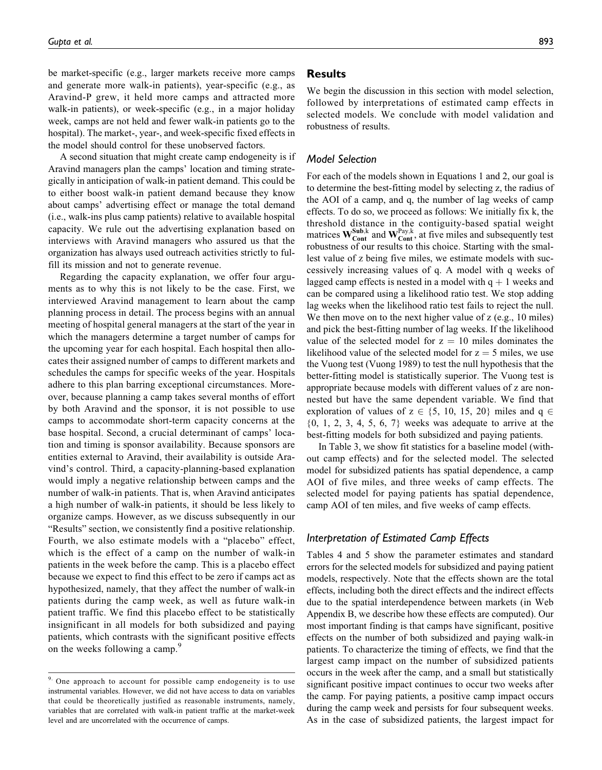be market-specific (e.g., larger markets receive more camps and generate more walk-in patients), year-specific (e.g., as Aravind-P grew, it held more camps and attracted more walk-in patients), or week-specific (e.g., in a major holiday week, camps are not held and fewer walk-in patients go to the hospital). The market-, year-, and week-specific fixed effects in the model should control for these unobserved factors.

A second situation that might create camp endogeneity is if Aravind managers plan the camps' location and timing strategically in anticipation of walk-in patient demand. This could be to either boost walk-in patient demand because they know about camps' advertising effect or manage the total demand (i.e., walk-ins plus camp patients) relative to available hospital capacity. We rule out the advertising explanation based on interviews with Aravind managers who assured us that the organization has always used outreach activities strictly to fulfill its mission and not to generate revenue.

Regarding the capacity explanation, we offer four arguments as to why this is not likely to be the case. First, we interviewed Aravind management to learn about the camp planning process in detail. The process begins with an annual meeting of hospital general managers at the start of the year in which the managers determine a target number of camps for the upcoming year for each hospital. Each hospital then allocates their assigned number of camps to different markets and schedules the camps for specific weeks of the year. Hospitals adhere to this plan barring exceptional circumstances. Moreover, because planning a camp takes several months of effort by both Aravind and the sponsor, it is not possible to use camps to accommodate short-term capacity concerns at the base hospital. Second, a crucial determinant of camps' location and timing is sponsor availability. Because sponsors are entities external to Aravind, their availability is outside Aravind's control. Third, a capacity-planning-based explanation would imply a negative relationship between camps and the number of walk-in patients. That is, when Aravind anticipates a high number of walk-in patients, it should be less likely to organize camps. However, as we discuss subsequently in our "Results" section, we consistently find a positive relationship. Fourth, we also estimate models with a "placebo" effect, which is the effect of a camp on the number of walk-in patients in the week before the camp. This is a placebo effect because we expect to find this effect to be zero if camps act as hypothesized, namely, that they affect the number of walk-in patients during the camp week, as well as future walk-in patient traffic. We find this placebo effect to be statistically insignificant in all models for both subsidized and paying patients, which contrasts with the significant positive effects on the weeks following a camp.<sup>9</sup>

#### **Results**

We begin the discussion in this section with model selection, followed by interpretations of estimated camp effects in selected models. We conclude with model validation and robustness of results.

#### *Model Selection*

For each of the models shown in Equations 1 and 2, our goal is to determine the best-fitting model by selecting z, the radius of the AOI of a camp, and q, the number of lag weeks of camp effects. To do so, we proceed as follows: We initially fix k, the threshold distance in the contiguity-based spatial weight matrices  $\mathbf{W}_{\text{Cont}}^{\text{Sub},k}$  and  $\mathbf{W}_{\text{Cont}}^{\text{Pay},k}$ , at five miles and subsequently test robustness of our results to this choice. Starting with the smallest value of z being five miles, we estimate models with successively increasing values of q. A model with q weeks of lagged camp effects is nested in a model with  $q + 1$  weeks and can be compared using a likelihood ratio test. We stop adding lag weeks when the likelihood ratio test fails to reject the null. We then move on to the next higher value of z (e.g., 10 miles) and pick the best-fitting number of lag weeks. If the likelihood value of the selected model for  $z = 10$  miles dominates the likelihood value of the selected model for  $z = 5$  miles, we use the Vuong test (Vuong 1989) to test the null hypothesis that the better-fitting model is statistically superior. The Vuong test is appropriate because models with different values of z are nonnested but have the same dependent variable. We find that exploration of values of  $z \in \{5, 10, 15, 20\}$  miles and  $q \in$  $\{0, 1, 2, 3, 4, 5, 6, 7\}$  weeks was adequate to arrive at the best-fitting models for both subsidized and paying patients.

In Table 3, we show fit statistics for a baseline model (without camp effects) and for the selected model. The selected model for subsidized patients has spatial dependence, a camp AOI of five miles, and three weeks of camp effects. The selected model for paying patients has spatial dependence, camp AOI of ten miles, and five weeks of camp effects.

#### *Interpretation of Estimated Camp Effects*

Tables 4 and 5 show the parameter estimates and standard errors for the selected models for subsidized and paying patient models, respectively. Note that the effects shown are the total effects, including both the direct effects and the indirect effects due to the spatial interdependence between markets (in Web Appendix B, we describe how these effects are computed). Our most important finding is that camps have significant, positive effects on the number of both subsidized and paying walk-in patients. To characterize the timing of effects, we find that the largest camp impact on the number of subsidized patients occurs in the week after the camp, and a small but statistically significant positive impact continues to occur two weeks after the camp. For paying patients, a positive camp impact occurs during the camp week and persists for four subsequent weeks. As in the case of subsidized patients, the largest impact for

<sup>&</sup>lt;sup>9.</sup> One approach to account for possible camp endogeneity is to use instrumental variables. However, we did not have access to data on variables that could be theoretically justified as reasonable instruments, namely, variables that are correlated with walk-in patient traffic at the market-week level and are uncorrelated with the occurrence of camps.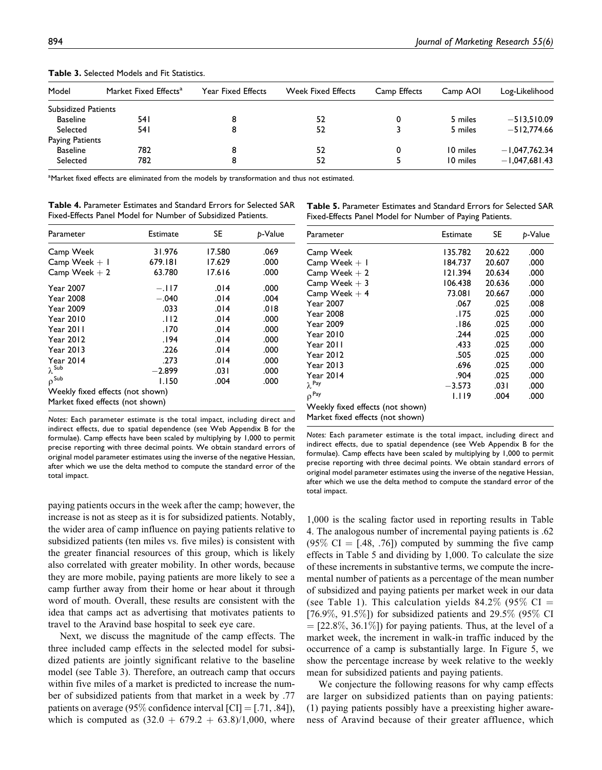| Model                      | Market Fixed Effects <sup>a</sup> | Year Fixed Effects | <b>Week Fixed Effects</b> | Camp Effects | Camp AOI | Log-Likelihood  |
|----------------------------|-----------------------------------|--------------------|---------------------------|--------------|----------|-----------------|
| <b>Subsidized Patients</b> |                                   |                    |                           |              |          |                 |
| <b>Baseline</b>            | 54 I                              |                    | 52                        |              | 5 miles  | $-513.510.09$   |
| Selected                   | 54 I                              |                    | 52                        |              | 5 miles  | $-512,774.66$   |
| Paying Patients            |                                   |                    |                           |              |          |                 |
| <b>Baseline</b>            | 782                               |                    | 52                        |              | 10 miles | $-1,047,762.34$ |
| Selected                   | 782                               |                    | 52                        |              | 10 miles | $-1.047.681.43$ |

Table 3. Selected Models and Fit Statistics.

<sup>a</sup>Market fixed effects are eliminated from the models by transformation and thus not estimated.

Table 4. Parameter Estimates and Standard Errors for Selected SAR Fixed-Effects Panel Model for Number of Subsidized Patients.

| Parameter                        | Estimate | SE     | b-Value |  |  |  |
|----------------------------------|----------|--------|---------|--|--|--|
| Camp Week                        | 31.976   | 17.580 | .069    |  |  |  |
| $Camp$ Week $+1$                 | 679.181  | 17.629 | .000    |  |  |  |
| $Camp$ Week $+2$                 | 63.780   | 17.616 | .000    |  |  |  |
| <b>Year 2007</b>                 | $-.117$  | .014   | .000    |  |  |  |
| <b>Year 2008</b>                 | $-.040$  | .014   | .004    |  |  |  |
| <b>Year 2009</b>                 | .033     | .014   | .018    |  |  |  |
| <b>Year 2010</b>                 | .112     | .014   | .000    |  |  |  |
| Year 2011                        | .170     | .014   | .000    |  |  |  |
| <b>Year 2012</b>                 | .194     | .014   | .000    |  |  |  |
| <b>Year 2013</b>                 | .226     | .014   | .000    |  |  |  |
| <b>Year 2014</b>                 | .273     | .014   | .000    |  |  |  |
| $\lambda$ Sub                    | $-2.899$ | .031   | .000    |  |  |  |
| $\rho$ Sub                       | 1.150    | .004   | .000    |  |  |  |
| Weekly fixed effects (not shown) |          |        |         |  |  |  |
| Market fixed effects (not shown) |          |        |         |  |  |  |

*Notes:* Each parameter estimate is the total impact, including direct and indirect effects, due to spatial dependence (see Web Appendix B for the formulae). Camp effects have been scaled by multiplying by 1,000 to permit precise reporting with three decimal points. We obtain standard errors of original model parameter estimates using the inverse of the negative Hessian, after which we use the delta method to compute the standard error of the total impact.

paying patients occurs in the week after the camp; however, the increase is not as steep as it is for subsidized patients. Notably, the wider area of camp influence on paying patients relative to subsidized patients (ten miles vs. five miles) is consistent with the greater financial resources of this group, which is likely also correlated with greater mobility. In other words, because they are more mobile, paying patients are more likely to see a camp further away from their home or hear about it through word of mouth. Overall, these results are consistent with the idea that camps act as advertising that motivates patients to travel to the Aravind base hospital to seek eye care.

Next, we discuss the magnitude of the camp effects. The three included camp effects in the selected model for subsidized patients are jointly significant relative to the baseline model (see Table 3). Therefore, an outreach camp that occurs within five miles of a market is predicted to increase the number of subsidized patients from that market in a week by .77 patients on average (95% confidence interval  $\text{[CI]} = [.71, .84]$ ), which is computed as  $(32.0 + 679.2 + 63.8)/1,000$ , where

Table 5. Parameter Estimates and Standard Errors for Selected SAR Fixed-Effects Panel Model for Number of Paying Patients.

| Parameter                                                            | Estimate | SE     | p-Value |
|----------------------------------------------------------------------|----------|--------|---------|
| Camp Week                                                            | 135.782  | 20.622 | .000    |
| $Camp$ Week $+$ 1                                                    | 184.737  | 20.607 | .000    |
| $Camp$ Week $+2$                                                     | 121.394  | 20.634 | .000    |
| $Camp$ Week $+3$                                                     | 106.438  | 20.636 | .000    |
| Camp Week $+4$                                                       | 73.081   | 20.667 | .000    |
| <b>Year 2007</b>                                                     | .067     | .025   | .008    |
| <b>Year 2008</b>                                                     | .175     | .025   | .000    |
| <b>Year 2009</b>                                                     | .186     | .025   | .000    |
| Year 2010                                                            | .244     | .025   | .000    |
| Year 2011                                                            | .433     | .025   | .000    |
| Year 2012                                                            | .505     | .025   | .000    |
| Year 2013                                                            | .696     | .025   | .000    |
| Year 2014                                                            | .904     | .025   | .000    |
| $\lambda$ Pay                                                        | $-3.573$ | .031   | .000    |
| $\rho^{Pay}$                                                         | 1.119    | .004   | .000    |
| Weekly fixed effects (not shown)<br>Market fixed effects (not shown) |          |        |         |

*Notes:* Each parameter estimate is the total impact, including direct and indirect effects, due to spatial dependence (see Web Appendix B for the formulae). Camp effects have been scaled by multiplying by 1,000 to permit precise reporting with three decimal points. We obtain standard errors of original model parameter estimates using the inverse of the negative Hessian, after which we use the delta method to compute the standard error of the total impact.

1,000 is the scaling factor used in reporting results in Table 4. The analogous number of incremental paying patients is .62  $(95\% \text{ CI} = [.48, .76])$  computed by summing the five camp effects in Table 5 and dividing by 1,000. To calculate the size of these increments in substantive terms, we compute the incremental number of patients as a percentage of the mean number of subsidized and paying patients per market week in our data (see Table 1). This calculation yields 84.2\% (95\% CI =  $[76.9\%, 91.5\%]$  for subsidized patients and 29.5% (95% CI  $=[22.8\%, 36.1\%]$  for paying patients. Thus, at the level of a market week, the increment in walk-in traffic induced by the occurrence of a camp is substantially large. In Figure 5, we show the percentage increase by week relative to the weekly mean for subsidized patients and paying patients.

We conjecture the following reasons for why camp effects are larger on subsidized patients than on paying patients: (1) paying patients possibly have a preexisting higher awareness of Aravind because of their greater affluence, which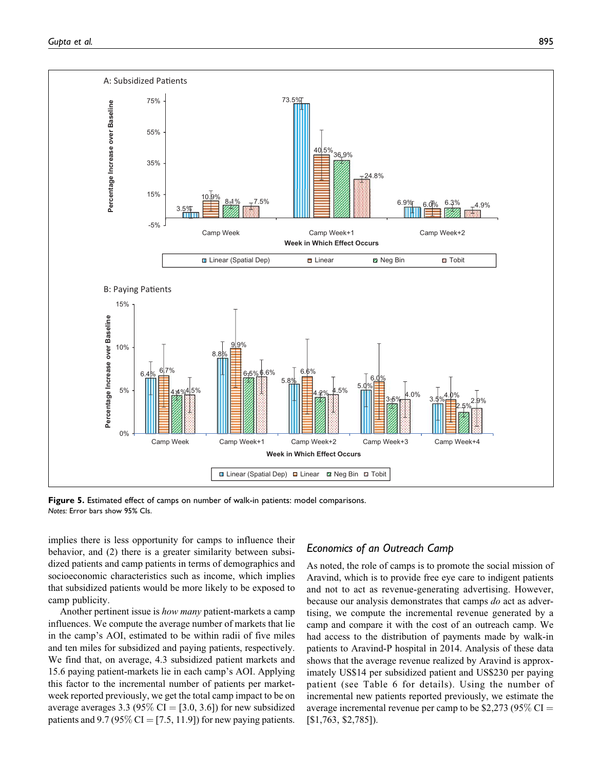

Figure 5. Estimated effect of camps on number of walk-in patients: model comparisons. *Notes:* Error bars show 95% CIs.

implies there is less opportunity for camps to influence their behavior, and (2) there is a greater similarity between subsidized patients and camp patients in terms of demographics and socioeconomic characteristics such as income, which implies that subsidized patients would be more likely to be exposed to camp publicity.

Another pertinent issue is how many patient-markets a camp influences. We compute the average number of markets that lie in the camp's AOI, estimated to be within radii of five miles and ten miles for subsidized and paying patients, respectively. We find that, on average, 4.3 subsidized patient markets and 15.6 paying patient-markets lie in each camp's AOI. Applying this factor to the incremental number of patients per marketweek reported previously, we get the total camp impact to be on average averages 3.3 (95% CI = [3.0, 3.6]) for new subsidized patients and 9.7 (95% CI = [7.5, 11.9]) for new paying patients.

#### *Economics of an Outreach Camp*

As noted, the role of camps is to promote the social mission of Aravind, which is to provide free eye care to indigent patients and not to act as revenue-generating advertising. However, because our analysis demonstrates that camps do act as advertising, we compute the incremental revenue generated by a camp and compare it with the cost of an outreach camp. We had access to the distribution of payments made by walk-in patients to Aravind-P hospital in 2014. Analysis of these data shows that the average revenue realized by Aravind is approximately US\$14 per subsidized patient and US\$230 per paying patient (see Table 6 for details). Using the number of incremental new patients reported previously, we estimate the average incremental revenue per camp to be \$2,273 (95\%  $CI =$ [\$1,763, \$2,785]).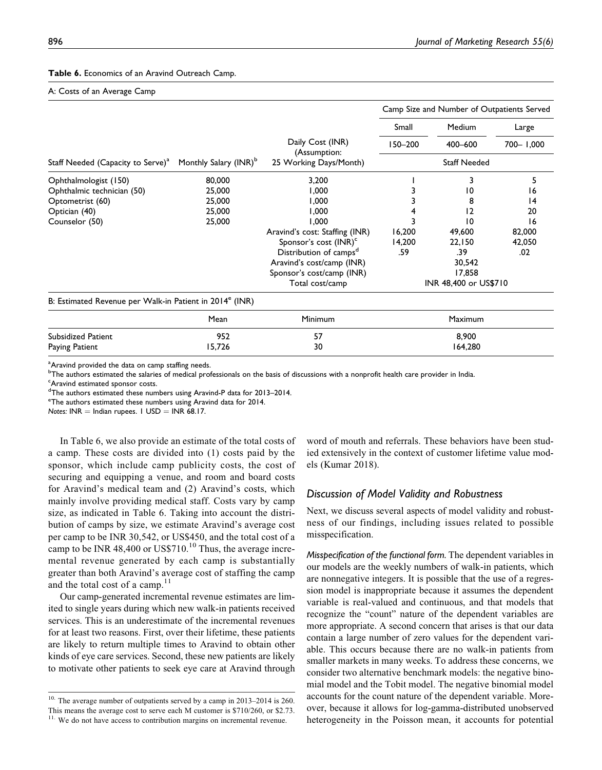#### Table 6. Economics of an Aravind Outreach Camp.

A: Costs of an Average Camp

|                                                                     |                                   |                                                            | Camp Size and Number of Outpatients Served |                       |                 |
|---------------------------------------------------------------------|-----------------------------------|------------------------------------------------------------|--------------------------------------------|-----------------------|-----------------|
|                                                                     |                                   |                                                            | Small                                      | Medium                | Large           |
|                                                                     | Monthly Salary (INR) <sup>b</sup> | Daily Cost (INR)<br>(Assumption:<br>25 Working Days/Month) | 150-200                                    | 400-600               | 700 - 700       |
| Staff Needed (Capacity to Serve) <sup>a</sup>                       |                                   |                                                            | <b>Staff Needed</b>                        |                       |                 |
| Ophthalmologist (150)                                               | 80,000                            | 3,200                                                      |                                            | 3                     | 5               |
| Ophthalmic technician (50)                                          | 25,000                            | 1,000                                                      |                                            | 10                    | 16              |
| Optometrist (60)                                                    | 25,000                            | 1,000                                                      |                                            | 8                     | $\overline{14}$ |
| Optician (40)                                                       | 25,000                            | 1.000                                                      |                                            | $\overline{12}$       | 20              |
| Counselor (50)                                                      | 25,000                            | 1,000                                                      | 3                                          | 10                    | 16              |
|                                                                     |                                   | Aravind's cost: Staffing (INR)                             | 16,200                                     | 49,600                | 82,000          |
|                                                                     |                                   | Sponsor's cost (INR) <sup>c</sup>                          | 14,200                                     | 22,150                | 42,050          |
|                                                                     |                                   | Distribution of camps <sup>d</sup>                         | .59                                        | .39                   | .02             |
|                                                                     |                                   | Aravind's cost/camp (INR)                                  |                                            | 30,542                |                 |
|                                                                     |                                   | Sponsor's cost/camp (INR)                                  |                                            | 17,858                |                 |
|                                                                     |                                   | Total cost/camp                                            |                                            | INR 48,400 or US\$710 |                 |
| B: Estimated Revenue per Walk-in Patient in 2014 <sup>e</sup> (INR) |                                   |                                                            |                                            |                       |                 |
|                                                                     | Mean                              | Minimum                                                    |                                            | Maximum               |                 |
| Subsidized Patient                                                  | 952                               | 57                                                         |                                            | 8,900                 |                 |
| Paying Patient                                                      | 15,726                            | 30                                                         |                                            | 164,280               |                 |

<sup>a</sup>Aravind provided the data on camp staffing needs.

<sup>b</sup>The authors estimated the salaries of medical professionals on the basis of discussions with a nonprofit health care provider in India.

<sup>c</sup>Aravind estimated sponsor costs.

<sup>d</sup>The authors estimated these numbers using Aravind-P data for 2013–2014.

e The authors estimated these numbers using Aravind data for 2014.

*Notes:*  $INR = Indian rupees.$  *I* USD  $= INR$  68.17.

In Table 6, we also provide an estimate of the total costs of a camp. These costs are divided into (1) costs paid by the sponsor, which include camp publicity costs, the cost of securing and equipping a venue, and room and board costs for Aravind's medical team and (2) Aravind's costs, which mainly involve providing medical staff. Costs vary by camp size, as indicated in Table 6. Taking into account the distribution of camps by size, we estimate Aravind's average cost per camp to be INR 30,542, or US\$450, and the total cost of a camp to be INR 48,400 or US\$710.<sup>10</sup> Thus, the average incremental revenue generated by each camp is substantially greater than both Aravind's average cost of staffing the camp and the total cost of a camp. $11$ 

Our camp-generated incremental revenue estimates are limited to single years during which new walk-in patients received services. This is an underestimate of the incremental revenues for at least two reasons. First, over their lifetime, these patients are likely to return multiple times to Aravind to obtain other kinds of eye care services. Second, these new patients are likely to motivate other patients to seek eye care at Aravind through word of mouth and referrals. These behaviors have been studied extensively in the context of customer lifetime value models (Kumar 2018).

#### *Discussion of Model Validity and Robustness*

Next, we discuss several aspects of model validity and robustness of our findings, including issues related to possible misspecification.

*Misspecification of the functional form.* The dependent variables in our models are the weekly numbers of walk-in patients, which are nonnegative integers. It is possible that the use of a regression model is inappropriate because it assumes the dependent variable is real-valued and continuous, and that models that recognize the "count" nature of the dependent variables are more appropriate. A second concern that arises is that our data contain a large number of zero values for the dependent variable. This occurs because there are no walk-in patients from smaller markets in many weeks. To address these concerns, we consider two alternative benchmark models: the negative binomial model and the Tobit model. The negative binomial model accounts for the count nature of the dependent variable. Moreover, because it allows for log-gamma-distributed unobserved heterogeneity in the Poisson mean, it accounts for potential

<sup>&</sup>lt;sup>10.</sup> The average number of outpatients served by a camp in 2013–2014 is 260. This means the average cost to serve each M customer is \$710/260, or \$2.73. <sup>11.</sup> We do not have access to contribution margins on incremental revenue.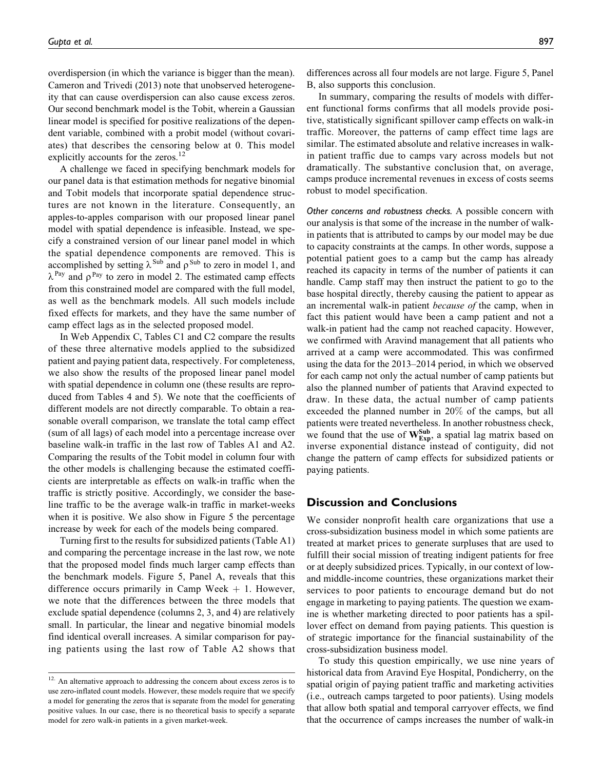overdispersion (in which the variance is bigger than the mean). Cameron and Trivedi (2013) note that unobserved heterogeneity that can cause overdispersion can also cause excess zeros. Our second benchmark model is the Tobit, wherein a Gaussian linear model is specified for positive realizations of the dependent variable, combined with a probit model (without covariates) that describes the censoring below at 0. This model explicitly accounts for the zeros.<sup>12</sup>

A challenge we faced in specifying benchmark models for our panel data is that estimation methods for negative binomial and Tobit models that incorporate spatial dependence structures are not known in the literature. Consequently, an apples-to-apples comparison with our proposed linear panel model with spatial dependence is infeasible. Instead, we specify a constrained version of our linear panel model in which the spatial dependence components are removed. This is accomplished by setting  $\lambda^{\text{Sub}}$  and  $\rho^{\text{Sub}}$  to zero in model 1, and  $\lambda$ <sup>Pay</sup> and  $\rho$ <sup>Pay</sup> to zero in model 2. The estimated camp effects from this constrained model are compared with the full model, as well as the benchmark models. All such models include fixed effects for markets, and they have the same number of camp effect lags as in the selected proposed model.

In Web Appendix C, Tables C1 and C2 compare the results of these three alternative models applied to the subsidized patient and paying patient data, respectively. For completeness, we also show the results of the proposed linear panel model with spatial dependence in column one (these results are reproduced from Tables 4 and 5). We note that the coefficients of different models are not directly comparable. To obtain a reasonable overall comparison, we translate the total camp effect (sum of all lags) of each model into a percentage increase over baseline walk-in traffic in the last row of Tables A1 and A2. Comparing the results of the Tobit model in column four with the other models is challenging because the estimated coefficients are interpretable as effects on walk-in traffic when the traffic is strictly positive. Accordingly, we consider the baseline traffic to be the average walk-in traffic in market-weeks when it is positive. We also show in Figure 5 the percentage increase by week for each of the models being compared.

Turning first to the results for subsidized patients (Table A1) and comparing the percentage increase in the last row, we note that the proposed model finds much larger camp effects than the benchmark models. Figure 5, Panel A, reveals that this difference occurs primarily in Camp Week  $+$  1. However, we note that the differences between the three models that exclude spatial dependence (columns 2, 3, and 4) are relatively small. In particular, the linear and negative binomial models find identical overall increases. A similar comparison for paying patients using the last row of Table A2 shows that

differences across all four models are not large. Figure 5, Panel B, also supports this conclusion.

In summary, comparing the results of models with different functional forms confirms that all models provide positive, statistically significant spillover camp effects on walk-in traffic. Moreover, the patterns of camp effect time lags are similar. The estimated absolute and relative increases in walkin patient traffic due to camps vary across models but not dramatically. The substantive conclusion that, on average, camps produce incremental revenues in excess of costs seems robust to model specification.

*Other concerns and robustness checks.* A possible concern with our analysis is that some of the increase in the number of walkin patients that is attributed to camps by our model may be due to capacity constraints at the camps. In other words, suppose a potential patient goes to a camp but the camp has already reached its capacity in terms of the number of patients it can handle. Camp staff may then instruct the patient to go to the base hospital directly, thereby causing the patient to appear as an incremental walk-in patient because of the camp, when in fact this patient would have been a camp patient and not a walk-in patient had the camp not reached capacity. However, we confirmed with Aravind management that all patients who arrived at a camp were accommodated. This was confirmed using the data for the 2013–2014 period, in which we observed for each camp not only the actual number of camp patients but also the planned number of patients that Aravind expected to draw. In these data, the actual number of camp patients exceeded the planned number in 20% of the camps, but all patients were treated nevertheless. In another robustness check, we found that the use of  $W^{Sub}_{Exp}$ , a spatial lag matrix based on inverse exponential distance instead of contiguity, did not change the pattern of camp effects for subsidized patients or paying patients.

#### Discussion and Conclusions

We consider nonprofit health care organizations that use a cross-subsidization business model in which some patients are treated at market prices to generate surpluses that are used to fulfill their social mission of treating indigent patients for free or at deeply subsidized prices. Typically, in our context of lowand middle-income countries, these organizations market their services to poor patients to encourage demand but do not engage in marketing to paying patients. The question we examine is whether marketing directed to poor patients has a spillover effect on demand from paying patients. This question is of strategic importance for the financial sustainability of the cross-subsidization business model.

To study this question empirically, we use nine years of historical data from Aravind Eye Hospital, Pondicherry, on the spatial origin of paying patient traffic and marketing activities (i.e., outreach camps targeted to poor patients). Using models that allow both spatial and temporal carryover effects, we find that the occurrence of camps increases the number of walk-in

<sup>12.</sup> An alternative approach to addressing the concern about excess zeros is to use zero-inflated count models. However, these models require that we specify a model for generating the zeros that is separate from the model for generating positive values. In our case, there is no theoretical basis to specify a separate model for zero walk-in patients in a given market-week.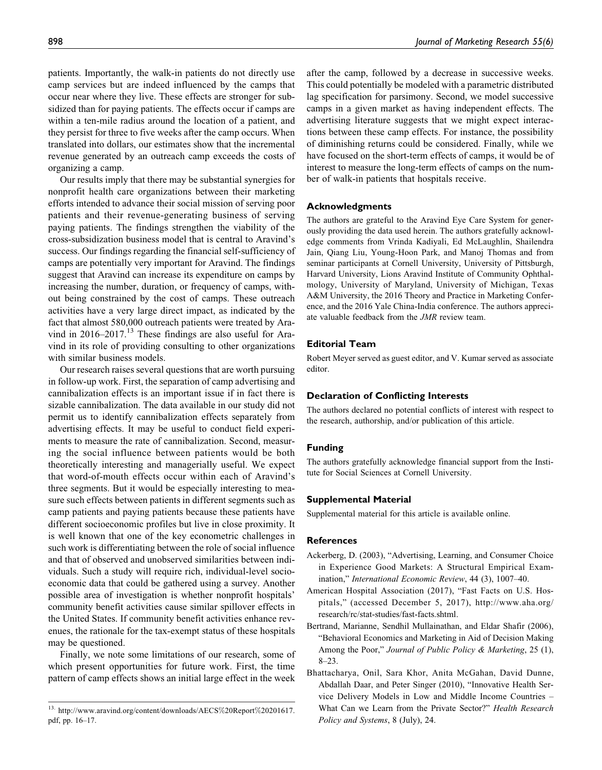patients. Importantly, the walk-in patients do not directly use camp services but are indeed influenced by the camps that occur near where they live. These effects are stronger for subsidized than for paying patients. The effects occur if camps are within a ten-mile radius around the location of a patient, and they persist for three to five weeks after the camp occurs. When translated into dollars, our estimates show that the incremental revenue generated by an outreach camp exceeds the costs of organizing a camp.

Our results imply that there may be substantial synergies for nonprofit health care organizations between their marketing efforts intended to advance their social mission of serving poor patients and their revenue-generating business of serving paying patients. The findings strengthen the viability of the cross-subsidization business model that is central to Aravind's success. Our findings regarding the financial self-sufficiency of camps are potentially very important for Aravind. The findings suggest that Aravind can increase its expenditure on camps by increasing the number, duration, or frequency of camps, without being constrained by the cost of camps. These outreach activities have a very large direct impact, as indicated by the fact that almost 580,000 outreach patients were treated by Aravind in  $2016-2017$ .<sup>13</sup> These findings are also useful for Aravind in its role of providing consulting to other organizations with similar business models.

Our research raises several questions that are worth pursuing in follow-up work. First, the separation of camp advertising and cannibalization effects is an important issue if in fact there is sizable cannibalization. The data available in our study did not permit us to identify cannibalization effects separately from advertising effects. It may be useful to conduct field experiments to measure the rate of cannibalization. Second, measuring the social influence between patients would be both theoretically interesting and managerially useful. We expect that word-of-mouth effects occur within each of Aravind's three segments. But it would be especially interesting to measure such effects between patients in different segments such as camp patients and paying patients because these patients have different socioeconomic profiles but live in close proximity. It is well known that one of the key econometric challenges in such work is differentiating between the role of social influence and that of observed and unobserved similarities between individuals. Such a study will require rich, individual-level socioeconomic data that could be gathered using a survey. Another possible area of investigation is whether nonprofit hospitals' community benefit activities cause similar spillover effects in the United States. If community benefit activities enhance revenues, the rationale for the tax-exempt status of these hospitals may be questioned.

Finally, we note some limitations of our research, some of which present opportunities for future work. First, the time pattern of camp effects shows an initial large effect in the week

after the camp, followed by a decrease in successive weeks. This could potentially be modeled with a parametric distributed lag specification for parsimony. Second, we model successive camps in a given market as having independent effects. The advertising literature suggests that we might expect interactions between these camp effects. For instance, the possibility of diminishing returns could be considered. Finally, while we have focused on the short-term effects of camps, it would be of interest to measure the long-term effects of camps on the number of walk-in patients that hospitals receive.

#### Acknowledgments

The authors are grateful to the Aravind Eye Care System for generously providing the data used herein. The authors gratefully acknowledge comments from Vrinda Kadiyali, Ed McLaughlin, Shailendra Jain, Qiang Liu, Young-Hoon Park, and Manoj Thomas and from seminar participants at Cornell University, University of Pittsburgh, Harvard University, Lions Aravind Institute of Community Ophthalmology, University of Maryland, University of Michigan, Texas A&M University, the 2016 Theory and Practice in Marketing Conference, and the 2016 Yale China-India conference. The authors appreciate valuable feedback from the *JMR* review team.

#### Editorial Team

Robert Meyer served as guest editor, and V. Kumar served as associate editor.

#### Declaration of Conflicting Interests

The authors declared no potential conflicts of interest with respect to the research, authorship, and/or publication of this article.

#### Funding

The authors gratefully acknowledge financial support from the Institute for Social Sciences at Cornell University.

#### Supplemental Material

Supplemental material for this article is available online.

#### References

- Ackerberg, D. (2003), "Advertising, Learning, and Consumer Choice in Experience Good Markets: A Structural Empirical Examination," International Economic Review, 44 (3), 1007–40.
- American Hospital Association (2017), "Fast Facts on U.S. Hospitals," (accessed December 5, 2017), http://www.aha.org/ research/rc/stat-studies/fast-facts.shtml.
- Bertrand, Marianne, Sendhil Mullainathan, and Eldar Shafir (2006), "Behavioral Economics and Marketing in Aid of Decision Making Among the Poor," Journal of Public Policy & Marketing, 25 (1), 8–23.
- Bhattacharya, Onil, Sara Khor, Anita McGahan, David Dunne, Abdallah Daar, and Peter Singer (2010), "Innovative Health Service Delivery Models in Low and Middle Income Countries – What Can we Learn from the Private Sector?" Health Research Policy and Systems, 8 (July), 24.

<sup>13.</sup> http://www.aravind.org/content/downloads/AECS%20Report%20201617. pdf, pp. 16–17.